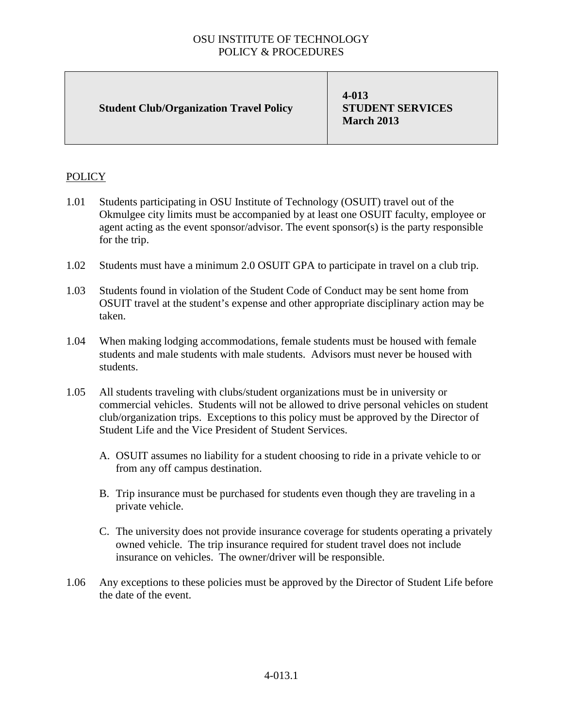## OSU INSTITUTE OF TECHNOLOGY POLICY & PROCEDURES

**Student Club/Organization Travel Policy**

**4-013 STUDENT SERVICES March 2013**

## **POLICY**

- 1.01 Students participating in OSU Institute of Technology (OSUIT) travel out of the Okmulgee city limits must be accompanied by at least one OSUIT faculty, employee or agent acting as the event sponsor/advisor. The event sponsor(s) is the party responsible for the trip.
- 1.02 Students must have a minimum 2.0 OSUIT GPA to participate in travel on a club trip.
- 1.03 Students found in violation of the Student Code of Conduct may be sent home from OSUIT travel at the student's expense and other appropriate disciplinary action may be taken.
- 1.04 When making lodging accommodations, female students must be housed with female students and male students with male students. Advisors must never be housed with students.
- 1.05 All students traveling with clubs/student organizations must be in university or commercial vehicles. Students will not be allowed to drive personal vehicles on student club/organization trips. Exceptions to this policy must be approved by the Director of Student Life and the Vice President of Student Services.
	- A. OSUIT assumes no liability for a student choosing to ride in a private vehicle to or from any off campus destination.
	- B. Trip insurance must be purchased for students even though they are traveling in a private vehicle.
	- C. The university does not provide insurance coverage for students operating a privately owned vehicle. The trip insurance required for student travel does not include insurance on vehicles. The owner/driver will be responsible.
- 1.06 Any exceptions to these policies must be approved by the Director of Student Life before the date of the event.